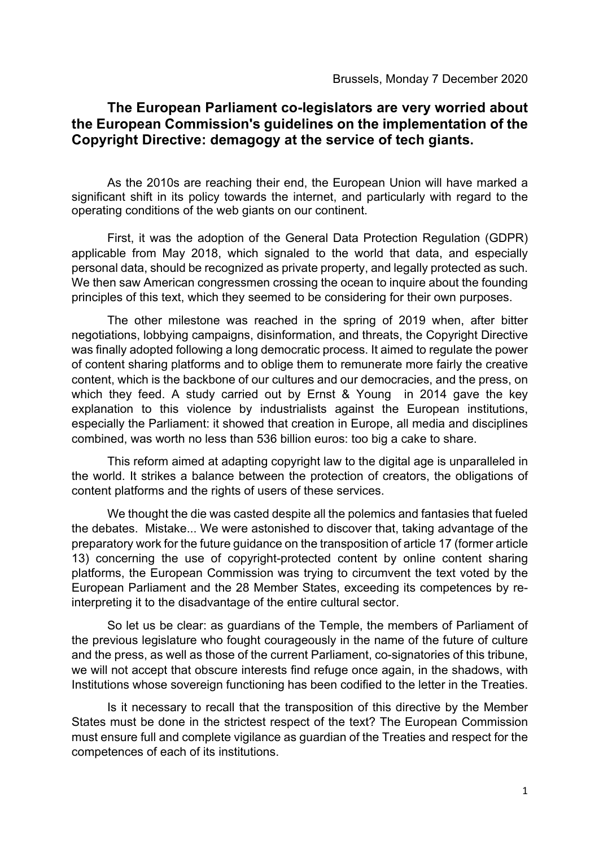## **The European Parliament co-legislators are very worried about the European Commission's guidelines on the implementation of the Copyright Directive: demagogy at the service of tech giants.**

As the 2010s are reaching their end, the European Union will have marked a significant shift in its policy towards the internet, and particularly with regard to the operating conditions of the web giants on our continent.

First, it was the adoption of the General Data Protection Regulation (GDPR) applicable from May 2018, which signaled to the world that data, and especially personal data, should be recognized as private property, and legally protected as such. We then saw American congressmen crossing the ocean to inquire about the founding principles of this text, which they seemed to be considering for their own purposes.

The other milestone was reached in the spring of 2019 when, after bitter negotiations, lobbying campaigns, disinformation, and threats, the Copyright Directive was finally adopted following a long democratic process. It aimed to regulate the power of content sharing platforms and to oblige them to remunerate more fairly the creative content, which is the backbone of our cultures and our democracies, and the press, on which they feed. A study carried out by Ernst & Young in 2014 gave the key explanation to this violence by industrialists against the European institutions, especially the Parliament: it showed that creation in Europe, all media and disciplines combined, was worth no less than 536 billion euros: too big a cake to share.

This reform aimed at adapting copyright law to the digital age is unparalleled in the world. It strikes a balance between the protection of creators, the obligations of content platforms and the rights of users of these services.

We thought the die was casted despite all the polemics and fantasies that fueled the debates. Mistake... We were astonished to discover that, taking advantage of the preparatory work for the future guidance on the transposition of article 17 (former article 13) concerning the use of copyright-protected content by online content sharing platforms, the European Commission was trying to circumvent the text voted by the European Parliament and the 28 Member States, exceeding its competences by reinterpreting it to the disadvantage of the entire cultural sector.

So let us be clear: as guardians of the Temple, the members of Parliament of the previous legislature who fought courageously in the name of the future of culture and the press, as well as those of the current Parliament, co-signatories of this tribune, we will not accept that obscure interests find refuge once again, in the shadows, with Institutions whose sovereign functioning has been codified to the letter in the Treaties.

Is it necessary to recall that the transposition of this directive by the Member States must be done in the strictest respect of the text? The European Commission must ensure full and complete vigilance as guardian of the Treaties and respect for the competences of each of its institutions.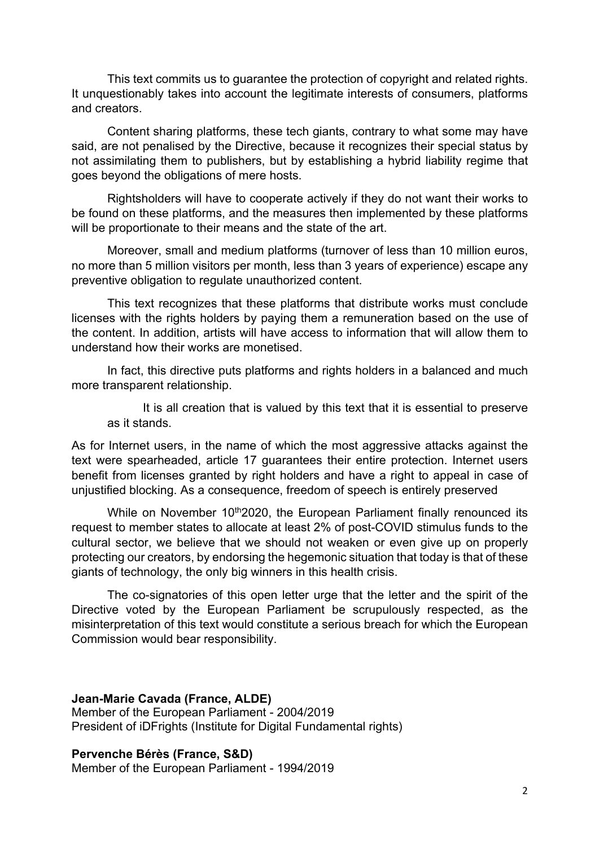This text commits us to guarantee the protection of copyright and related rights. It unquestionably takes into account the legitimate interests of consumers, platforms and creators.

Content sharing platforms, these tech giants, contrary to what some may have said, are not penalised by the Directive, because it recognizes their special status by not assimilating them to publishers, but by establishing a hybrid liability regime that goes beyond the obligations of mere hosts.

Rightsholders will have to cooperate actively if they do not want their works to be found on these platforms, and the measures then implemented by these platforms will be proportionate to their means and the state of the art.

Moreover, small and medium platforms (turnover of less than 10 million euros, no more than 5 million visitors per month, less than 3 years of experience) escape any preventive obligation to regulate unauthorized content.

This text recognizes that these platforms that distribute works must conclude licenses with the rights holders by paying them a remuneration based on the use of the content. In addition, artists will have access to information that will allow them to understand how their works are monetised.

In fact, this directive puts platforms and rights holders in a balanced and much more transparent relationship.

It is all creation that is valued by this text that it is essential to preserve as it stands.

As for Internet users, in the name of which the most aggressive attacks against the text were spearheaded, article 17 guarantees their entire protection. Internet users benefit from licenses granted by right holders and have a right to appeal in case of unjustified blocking. As a consequence, freedom of speech is entirely preserved

While on November 10<sup>th</sup>2020, the European Parliament finally renounced its request to member states to allocate at least 2% of post-COVID stimulus funds to the cultural sector, we believe that we should not weaken or even give up on properly protecting our creators, by endorsing the hegemonic situation that today is that of these giants of technology, the only big winners in this health crisis.

The co-signatories of this open letter urge that the letter and the spirit of the Directive voted by the European Parliament be scrupulously respected, as the misinterpretation of this text would constitute a serious breach for which the European Commission would bear responsibility.

**Jean-Marie Cavada (France, ALDE)** Member of the European Parliament - 2004/2019 President of iDFrights (Institute for Digital Fundamental rights)

## **Pervenche Bérès (France, S&D)**

Member of the European Parliament - 1994/2019